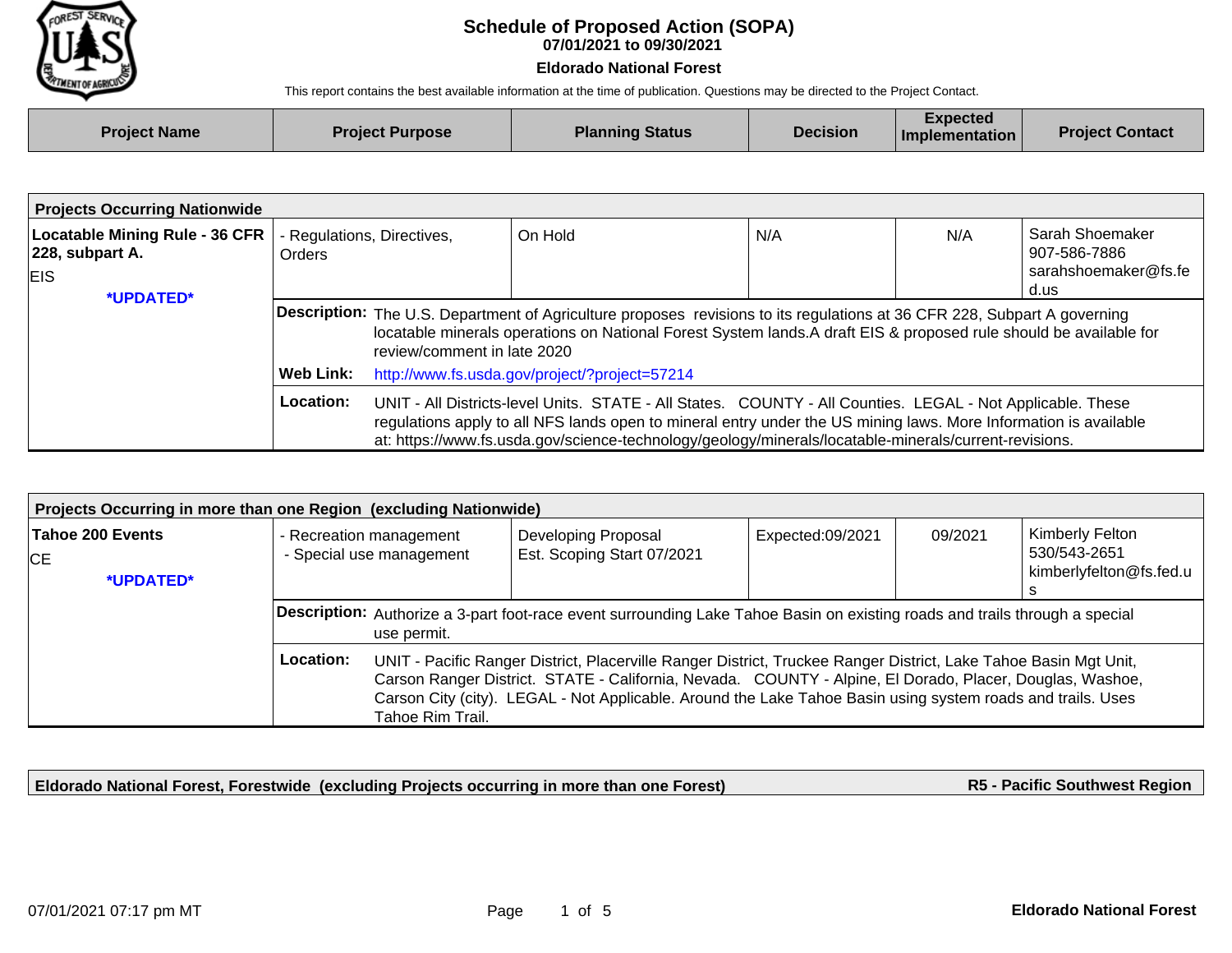

## **07/01/2021 to 09/30/2021 Schedule of Proposed Action (SOPA)**

## **Eldorado National Forest**

This report contains the best available information at the time of publication. Questions may be directed to the Project Contact.

| <b>Project Name</b> | <b>Project Purpose</b> | <b>Planning Status</b> | <b>Decision</b> | Expected<br><b>Implementation</b> | <b>Project Contact</b> |
|---------------------|------------------------|------------------------|-----------------|-----------------------------------|------------------------|
|                     |                        |                        |                 |                                   |                        |

| <b>Projects Occurring Nationwide</b>                                             |                                             |                                                                                                                                                                                                                                                                                                                                         |         |     |     |                                                                 |  |
|----------------------------------------------------------------------------------|---------------------------------------------|-----------------------------------------------------------------------------------------------------------------------------------------------------------------------------------------------------------------------------------------------------------------------------------------------------------------------------------------|---------|-----|-----|-----------------------------------------------------------------|--|
| <b>Locatable Mining Rule - 36 CFR</b><br>$ 228$ , subpart A.<br>EIS<br>*UPDATED* | - Regulations, Directives,<br><b>Orders</b> |                                                                                                                                                                                                                                                                                                                                         | On Hold | N/A | N/A | Sarah Shoemaker<br>907-586-7886<br>sarahshoemaker@fs.fe<br>d.us |  |
|                                                                                  |                                             | Description: The U.S. Department of Agriculture proposes revisions to its regulations at 36 CFR 228, Subpart A governing<br>locatable minerals operations on National Forest System lands. A draft EIS & proposed rule should be available for<br>review/comment in late 2020                                                           |         |     |     |                                                                 |  |
|                                                                                  | Web Link:                                   | http://www.fs.usda.gov/project/?project=57214                                                                                                                                                                                                                                                                                           |         |     |     |                                                                 |  |
|                                                                                  | Location:                                   | UNIT - All Districts-level Units. STATE - All States. COUNTY - All Counties. LEGAL - Not Applicable. These<br>regulations apply to all NFS lands open to mineral entry under the US mining laws. More Information is available<br>at: https://www.fs.usda.gov/science-technology/geology/minerals/locatable-minerals/current-revisions. |         |     |     |                                                                 |  |

| Projects Occurring in more than one Region (excluding Nationwide) |                                                                                                                                                                                                                                                                                                                                                                              |  |                                                          |                  |         |                                                            |  |
|-------------------------------------------------------------------|------------------------------------------------------------------------------------------------------------------------------------------------------------------------------------------------------------------------------------------------------------------------------------------------------------------------------------------------------------------------------|--|----------------------------------------------------------|------------------|---------|------------------------------------------------------------|--|
| Tahoe 200 Events<br>СE<br>*UPDATED*                               | - Recreation management<br>- Special use management                                                                                                                                                                                                                                                                                                                          |  | <b>Developing Proposal</b><br>Est. Scoping Start 07/2021 | Expected:09/2021 | 09/2021 | Kimberly Felton<br>530/543-2651<br>kimberlyfelton@fs.fed.u |  |
|                                                                   | <b>Description:</b> Authorize a 3-part foot-race event surrounding Lake Tahoe Basin on existing roads and trails through a special<br>use permit.                                                                                                                                                                                                                            |  |                                                          |                  |         |                                                            |  |
|                                                                   | Location:<br>UNIT - Pacific Ranger District, Placerville Ranger District, Truckee Ranger District, Lake Tahoe Basin Mgt Unit,<br>Carson Ranger District. STATE - California, Nevada. COUNTY - Alpine, El Dorado, Placer, Douglas, Washoe,<br>Carson City (city). LEGAL - Not Applicable. Around the Lake Tahoe Basin using system roads and trails. Uses<br>Tahoe Rim Trail. |  |                                                          |                  |         |                                                            |  |

**Eldorado National Forest, Forestwide (excluding Projects occurring in more than one Forest)**

**R5 - Pacific Southwest Region**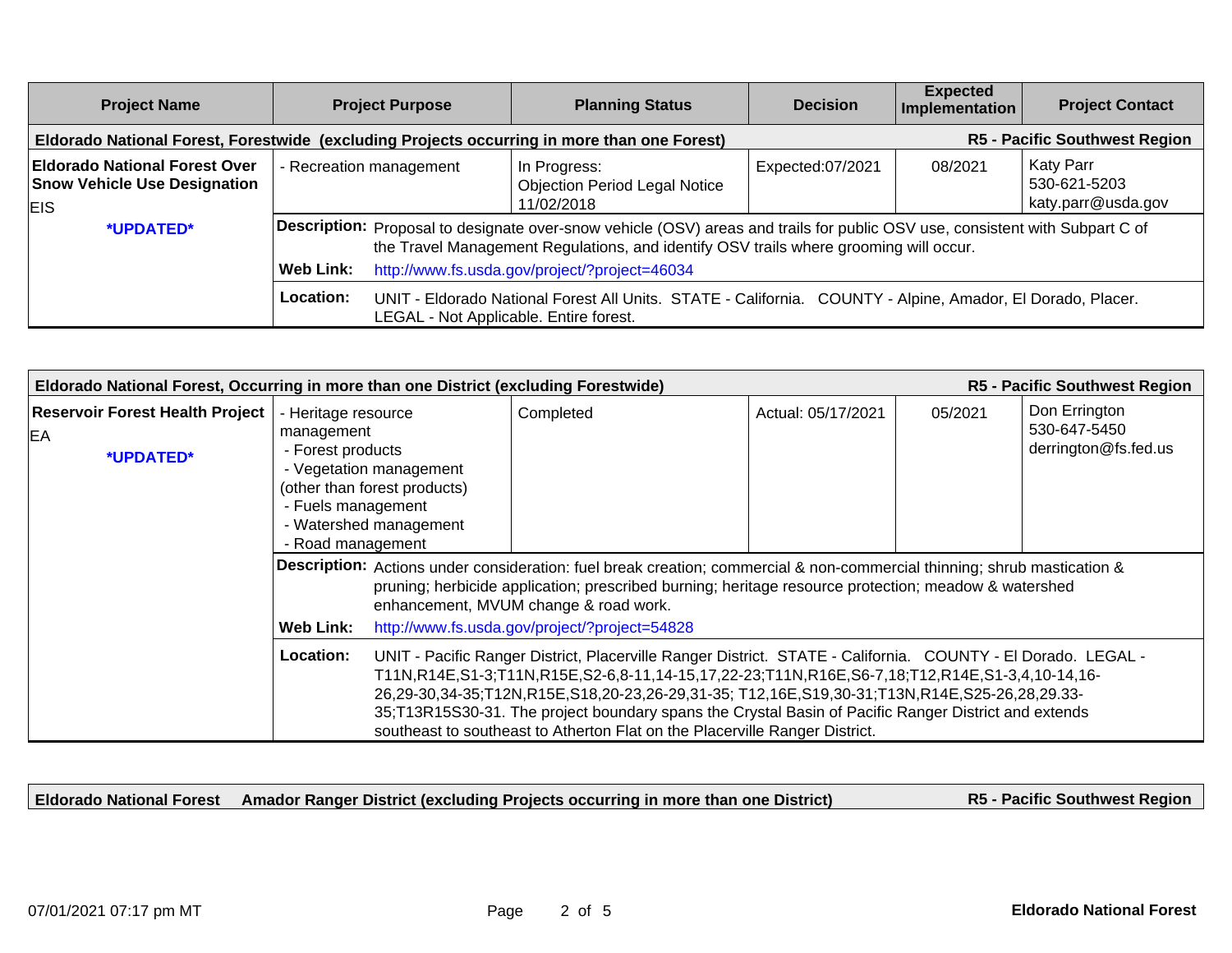| <b>Project Name</b>                                                                       | <b>Project Purpose</b>                                                                      | <b>Planning Status</b>                                                                                                                                                                                                                                                        | <b>Decision</b>  | <b>Expected</b><br>Implementation    | <b>Project Contact</b>                          |
|-------------------------------------------------------------------------------------------|---------------------------------------------------------------------------------------------|-------------------------------------------------------------------------------------------------------------------------------------------------------------------------------------------------------------------------------------------------------------------------------|------------------|--------------------------------------|-------------------------------------------------|
|                                                                                           | Eldorado National Forest, Forestwide (excluding Projects occurring in more than one Forest) |                                                                                                                                                                                                                                                                               |                  | <b>R5 - Pacific Southwest Region</b> |                                                 |
| <b>Eldorado National Forest Over</b><br><b>Snow Vehicle Use Designation</b><br><b>EIS</b> | - Recreation management                                                                     | In Progress:<br><b>Objection Period Legal Notice</b><br>11/02/2018                                                                                                                                                                                                            | Expected:07/2021 | 08/2021                              | Katy Parr<br>530-621-5203<br>katy.parr@usda.gov |
| *UPDATED*                                                                                 | <b>Web Link:</b>                                                                            | <b>Description:</b> Proposal to designate over-snow vehicle (OSV) areas and trails for public OSV use, consistent with Subpart C of<br>the Travel Management Regulations, and identify OSV trails where grooming will occur.<br>http://www.fs.usda.gov/project/?project=46034 |                  |                                      |                                                 |
|                                                                                           | Location:<br>LEGAL - Not Applicable. Entire forest.                                         | UNIT - Eldorado National Forest All Units. STATE - California. COUNTY - Alpine, Amador, El Dorado, Placer.                                                                                                                                                                    |                  |                                      |                                                 |

| R5 - Pacific Southwest Region<br>Eldorado National Forest, Occurring in more than one District (excluding Forestwide) |                                                                                                   |                                                                                                                                                                                                                                                                                                                                                                                                                                                                                                      |                                               |                    |         |                                                       |  |
|-----------------------------------------------------------------------------------------------------------------------|---------------------------------------------------------------------------------------------------|------------------------------------------------------------------------------------------------------------------------------------------------------------------------------------------------------------------------------------------------------------------------------------------------------------------------------------------------------------------------------------------------------------------------------------------------------------------------------------------------------|-----------------------------------------------|--------------------|---------|-------------------------------------------------------|--|
| <b>Reservoir Forest Health Project</b><br>EA<br>*UPDATED*                                                             | - Heritage resource<br>management<br>- Forest products<br>- Fuels management<br>- Road management | - Vegetation management<br>(other than forest products)<br>- Watershed management                                                                                                                                                                                                                                                                                                                                                                                                                    | Completed                                     | Actual: 05/17/2021 | 05/2021 | Don Errington<br>530-647-5450<br>derrington@fs.fed.us |  |
|                                                                                                                       |                                                                                                   | Description: Actions under consideration: fuel break creation; commercial & non-commercial thinning; shrub mastication &<br>pruning; herbicide application; prescribed burning; heritage resource protection; meadow & watershed<br>enhancement, MVUM change & road work.                                                                                                                                                                                                                            |                                               |                    |         |                                                       |  |
|                                                                                                                       | <b>Web Link:</b>                                                                                  |                                                                                                                                                                                                                                                                                                                                                                                                                                                                                                      | http://www.fs.usda.gov/project/?project=54828 |                    |         |                                                       |  |
|                                                                                                                       | <b>Location:</b>                                                                                  | UNIT - Pacific Ranger District, Placerville Ranger District. STATE - California. COUNTY - El Dorado. LEGAL -<br>T11N,R14E,S1-3;T11N,R15E,S2-6,8-11,14-15,17,22-23;T11N,R16E,S6-7,18;T12,R14E,S1-3,4,10-14,16-<br>26,29-30,34-35;T12N,R15E,S18,20-23,26-29,31-35; T12,16E,S19,30-31;T13N,R14E,S25-26,28,29.33-<br>35;T13R15S30-31. The project boundary spans the Crystal Basin of Pacific Ranger District and extends<br>southeast to southeast to Atherton Flat on the Placerville Ranger District. |                                               |                    |         |                                                       |  |

**Eldorado National Forest Amador Ranger District (excluding Projects occurring in more than one District)**

**R5 - Pacific Southwest Region**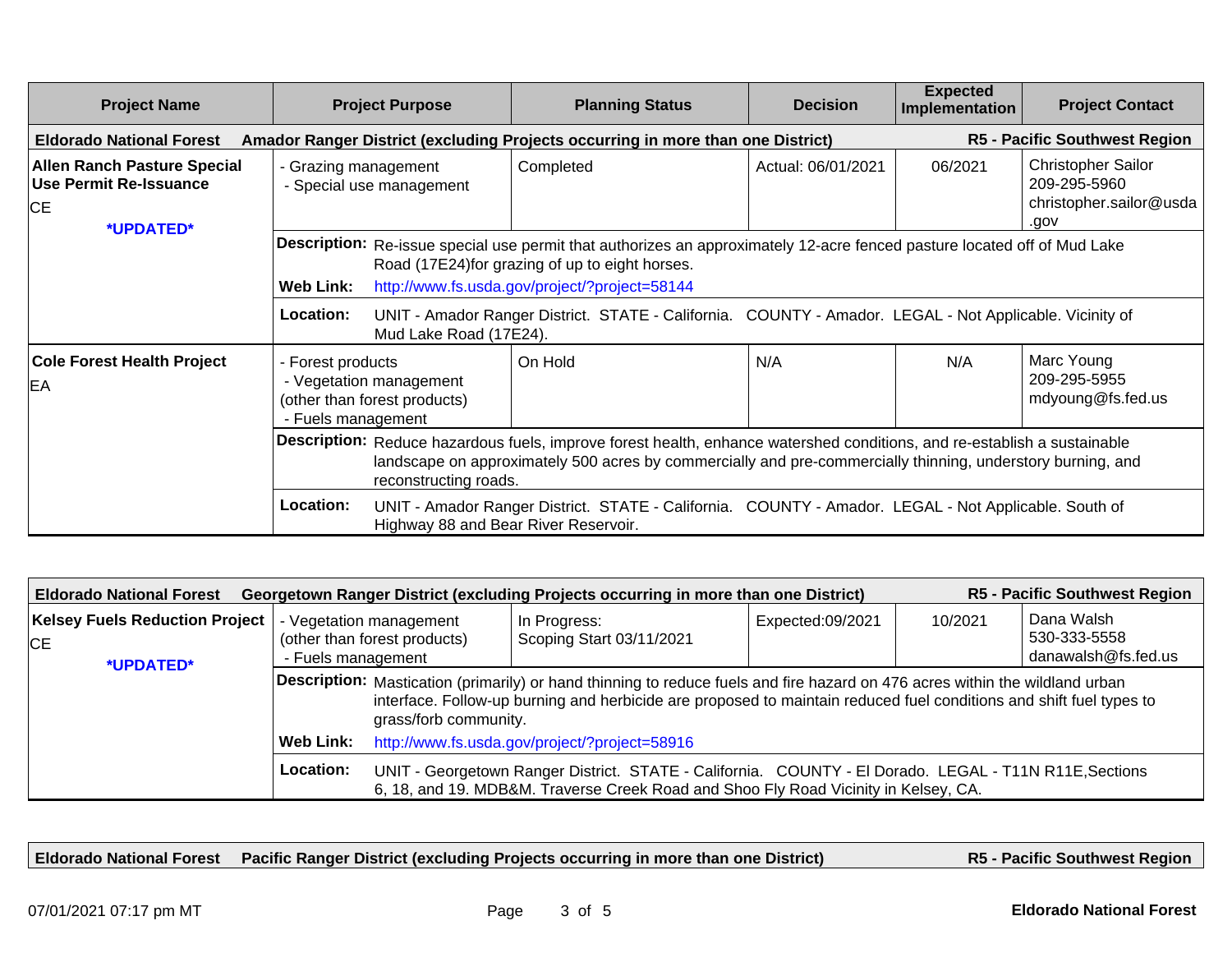| <b>Project Name</b>                                                                    | <b>Project Purpose</b>                                                                                                                                                                                                                                                                                                                                                                                                        | <b>Planning Status</b>                                                          | <b>Decision</b>    | <b>Expected</b><br>Implementation | <b>Project Contact</b>                                                       |  |  |
|----------------------------------------------------------------------------------------|-------------------------------------------------------------------------------------------------------------------------------------------------------------------------------------------------------------------------------------------------------------------------------------------------------------------------------------------------------------------------------------------------------------------------------|---------------------------------------------------------------------------------|--------------------|-----------------------------------|------------------------------------------------------------------------------|--|--|
| <b>Eldorado National Forest</b>                                                        |                                                                                                                                                                                                                                                                                                                                                                                                                               | Amador Ranger District (excluding Projects occurring in more than one District) |                    |                                   | R5 - Pacific Southwest Region                                                |  |  |
| <b>Allen Ranch Pasture Special</b><br><b>Use Permit Re-Issuance</b><br>CE<br>*UPDATED* | - Grazing management<br>- Special use management                                                                                                                                                                                                                                                                                                                                                                              | Completed                                                                       | Actual: 06/01/2021 | 06/2021                           | <b>Christopher Sailor</b><br>209-295-5960<br>christopher.sailor@usda<br>.gov |  |  |
|                                                                                        | Description: Re-issue special use permit that authorizes an approximately 12-acre fenced pasture located off of Mud Lake<br>Road (17E24) for grazing of up to eight horses.<br>http://www.fs.usda.gov/project/?project=58144<br><b>Web Link:</b><br>Location:<br>UNIT - Amador Ranger District. STATE - California. COUNTY - Amador. LEGAL - Not Applicable. Vicinity of<br>Mud Lake Road (17E24).                            |                                                                                 |                    |                                   |                                                                              |  |  |
| <b>Cole Forest Health Project</b><br>EA                                                | - Forest products<br>- Vegetation management<br>(other than forest products)<br>- Fuels management                                                                                                                                                                                                                                                                                                                            | On Hold                                                                         | N/A                | N/A                               | Marc Young<br>209-295-5955<br>mdyoung@fs.fed.us                              |  |  |
|                                                                                        | Description: Reduce hazardous fuels, improve forest health, enhance watershed conditions, and re-establish a sustainable<br>landscape on approximately 500 acres by commercially and pre-commercially thinning, understory burning, and<br>reconstructing roads.<br>Location:<br>UNIT - Amador Ranger District. STATE - California. COUNTY - Amador. LEGAL - Not Applicable. South of<br>Highway 88 and Bear River Reservoir. |                                                                                 |                    |                                   |                                                                              |  |  |

| <b>R5 - Pacific Southwest Region</b><br>Georgetown Ranger District (excluding Projects occurring in more than one District)<br><b>Eldorado National Forest</b> |                                                                                                                                                                                                            |                                                                                                                                                                                                                                                                              |                  |         |                                                   |  |  |  |
|----------------------------------------------------------------------------------------------------------------------------------------------------------------|------------------------------------------------------------------------------------------------------------------------------------------------------------------------------------------------------------|------------------------------------------------------------------------------------------------------------------------------------------------------------------------------------------------------------------------------------------------------------------------------|------------------|---------|---------------------------------------------------|--|--|--|
| <b>Kelsey Fuels Reduction Project</b><br><b>CE</b><br>*UPDATED*                                                                                                | - Vegetation management<br>(other than forest products)<br>- Fuels management                                                                                                                              | In Progress:<br>Scoping Start 03/11/2021                                                                                                                                                                                                                                     | Expected:09/2021 | 10/2021 | Dana Walsh<br>530-333-5558<br>danawalsh@fs.fed.us |  |  |  |
|                                                                                                                                                                |                                                                                                                                                                                                            | Description: Mastication (primarily) or hand thinning to reduce fuels and fire hazard on 476 acres within the wildland urban<br>interface. Follow-up burning and herbicide are proposed to maintain reduced fuel conditions and shift fuel types to<br>grass/forb community. |                  |         |                                                   |  |  |  |
|                                                                                                                                                                | <b>Web Link:</b>                                                                                                                                                                                           | http://www.fs.usda.gov/project/?project=58916                                                                                                                                                                                                                                |                  |         |                                                   |  |  |  |
|                                                                                                                                                                | Location:<br>UNIT - Georgetown Ranger District. STATE - California. COUNTY - El Dorado. LEGAL - T11N R11E, Sections<br>6, 18, and 19. MDB&M. Traverse Creek Road and Shoo Fly Road Vicinity in Kelsey, CA. |                                                                                                                                                                                                                                                                              |                  |         |                                                   |  |  |  |

**Eldorado National Forest Pacific Ranger District (excluding Projects occurring in more than one District)**

**R5 - Pacific Southwest Region**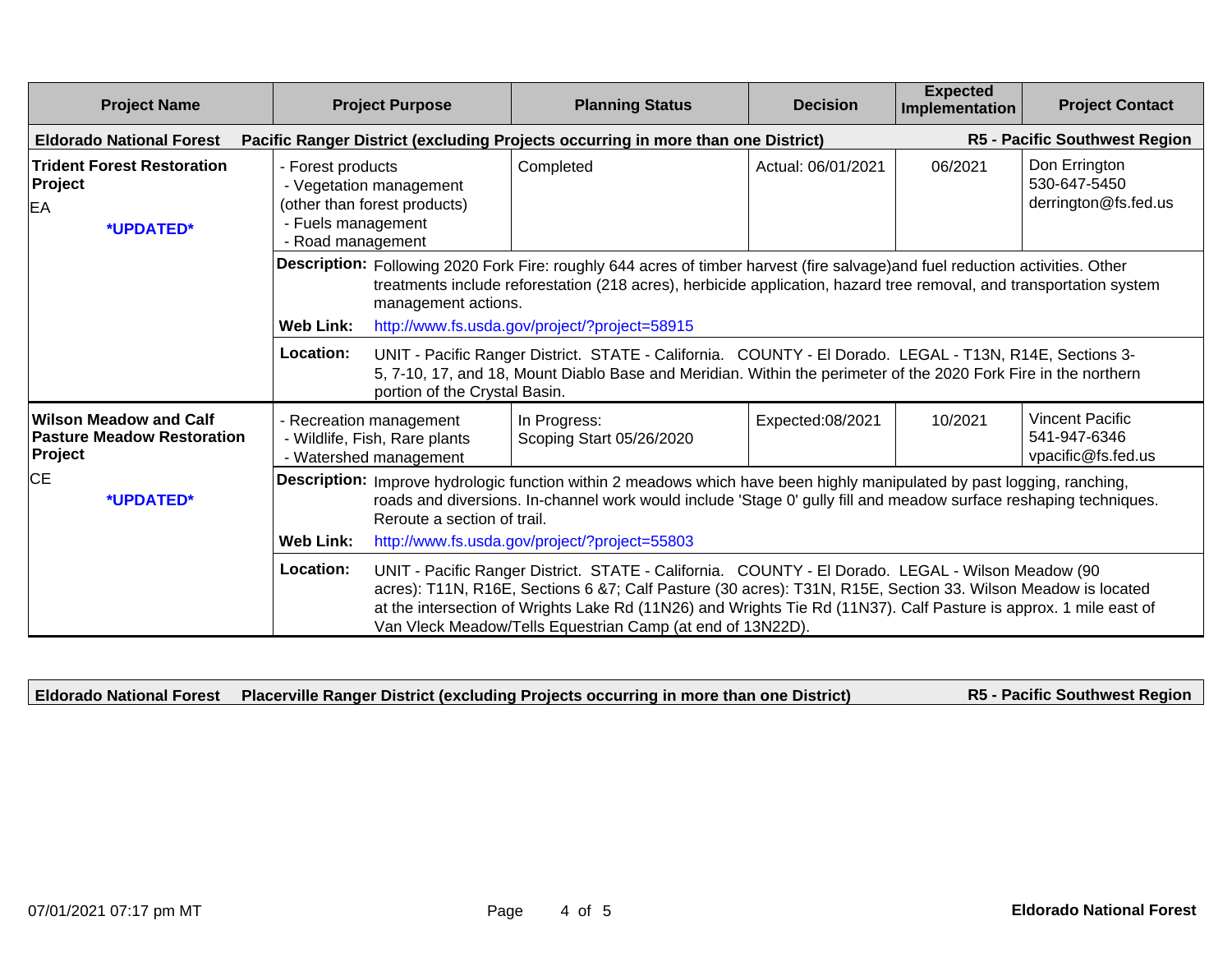| <b>Project Name</b>                                                           |                                                                                                                         | <b>Project Purpose</b>                                                                                                                                                                                                                                                                                                                                                                                                                   | <b>Planning Status</b>                                                                                          | <b>Decision</b>    | <b>Expected</b><br>Implementation | <b>Project Contact</b>                                       |  |  |
|-------------------------------------------------------------------------------|-------------------------------------------------------------------------------------------------------------------------|------------------------------------------------------------------------------------------------------------------------------------------------------------------------------------------------------------------------------------------------------------------------------------------------------------------------------------------------------------------------------------------------------------------------------------------|-----------------------------------------------------------------------------------------------------------------|--------------------|-----------------------------------|--------------------------------------------------------------|--|--|
| <b>Eldorado National Forest</b>                                               |                                                                                                                         | <b>R5 - Pacific Southwest Region</b><br>Pacific Ranger District (excluding Projects occurring in more than one District)                                                                                                                                                                                                                                                                                                                 |                                                                                                                 |                    |                                   |                                                              |  |  |
| <b>Trident Forest Restoration</b><br>Project<br><b>EA</b><br>*UPDATED*        | - Forest products<br>- Vegetation management<br>(other than forest products)<br>- Fuels management<br>- Road management |                                                                                                                                                                                                                                                                                                                                                                                                                                          | Completed                                                                                                       | Actual: 06/01/2021 | 06/2021                           | Don Errington<br>530-647-5450<br>derrington@fs.fed.us        |  |  |
|                                                                               | <b>Web Link:</b><br>Location:                                                                                           | Description: Following 2020 Fork Fire: roughly 644 acres of timber harvest (fire salvage) and fuel reduction activities. Other<br>treatments include reforestation (218 acres), herbicide application, hazard tree removal, and transportation system<br>management actions.<br>http://www.fs.usda.gov/project/?project=58915<br>UNIT - Pacific Ranger District. STATE - California. COUNTY - El Dorado. LEGAL - T13N, R14E, Sections 3- |                                                                                                                 |                    |                                   |                                                              |  |  |
|                                                                               |                                                                                                                         | portion of the Crystal Basin.                                                                                                                                                                                                                                                                                                                                                                                                            | 5, 7-10, 17, and 18, Mount Diablo Base and Meridian. Within the perimeter of the 2020 Fork Fire in the northern |                    |                                   |                                                              |  |  |
| <b>Wilson Meadow and Calf</b><br><b>Pasture Meadow Restoration</b><br>Project | - Recreation management<br>- Wildlife, Fish, Rare plants<br>- Watershed management                                      |                                                                                                                                                                                                                                                                                                                                                                                                                                          | In Progress:<br>Scoping Start 05/26/2020                                                                        | Expected:08/2021   | 10/2021                           | <b>Vincent Pacific</b><br>541-947-6346<br>vpacific@fs.fed.us |  |  |
| <b>CE</b><br>*UPDATED*                                                        |                                                                                                                         | Description: Improve hydrologic function within 2 meadows which have been highly manipulated by past logging, ranching,<br>roads and diversions. In-channel work would include 'Stage 0' gully fill and meadow surface reshaping techniques.<br>Reroute a section of trail.                                                                                                                                                              |                                                                                                                 |                    |                                   |                                                              |  |  |
|                                                                               | Web Link:                                                                                                               | http://www.fs.usda.gov/project/?project=55803                                                                                                                                                                                                                                                                                                                                                                                            |                                                                                                                 |                    |                                   |                                                              |  |  |
|                                                                               | Location:                                                                                                               | UNIT - Pacific Ranger District. STATE - California. COUNTY - El Dorado. LEGAL - Wilson Meadow (90<br>acres): T11N, R16E, Sections 6 &7; Calf Pasture (30 acres): T31N, R15E, Section 33. Wilson Meadow is located<br>at the intersection of Wrights Lake Rd (11N26) and Wrights Tie Rd (11N37). Calf Pasture is approx. 1 mile east of<br>Van Vleck Meadow/Tells Equestrian Camp (at end of 13N22D).                                     |                                                                                                                 |                    |                                   |                                                              |  |  |

**Eldorado National Forest Placerville Ranger District (excluding Projects occurring in more than one District) R5 - Pacific Southwest Region**